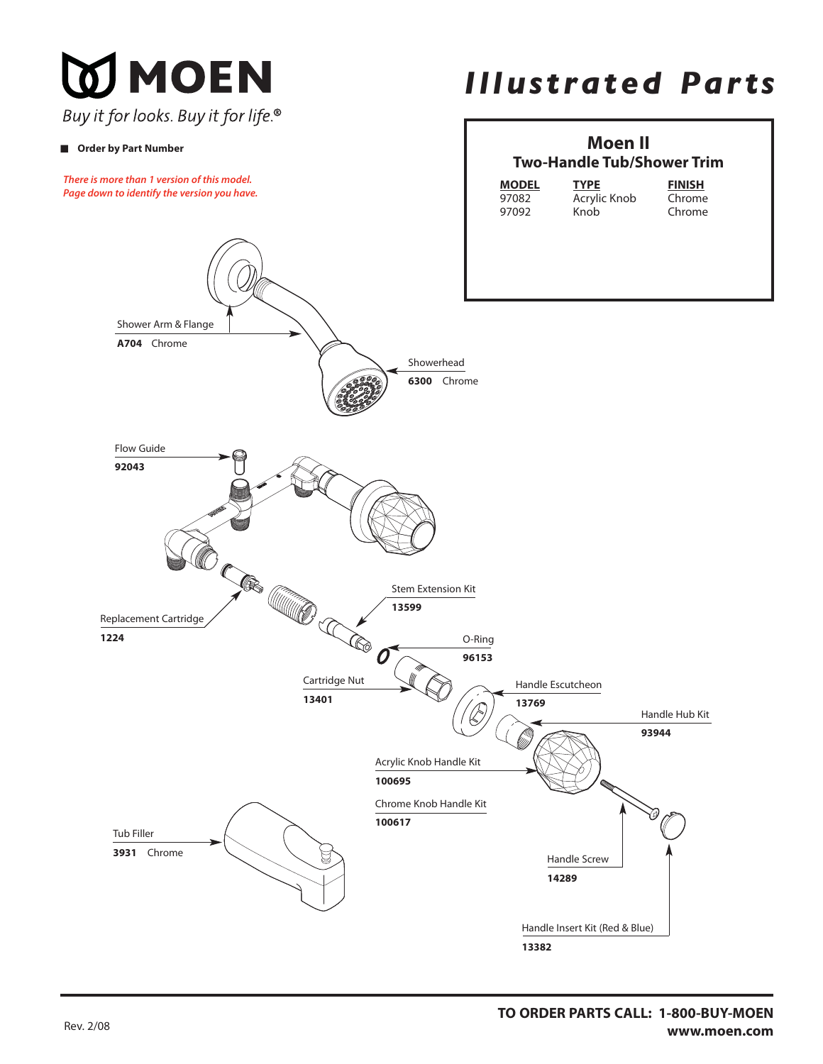**DI MOEN** Buy it for looks. Buy it for life.®

## ■ **Order by Part Number**

**There is more than 1 version of this model. Page down to identify the version you have.**

## *Illustrated Parts*

## **Moen II Two-Handle Tub/Shower Trim**

| <b>MODEL</b> | <b>TYPE</b> |
|--------------|-------------|
| 97082        | Acrylic Kn  |
| 97092        | Knob        |
|              |             |

**MODEL**<br> **Chrome** Chrome